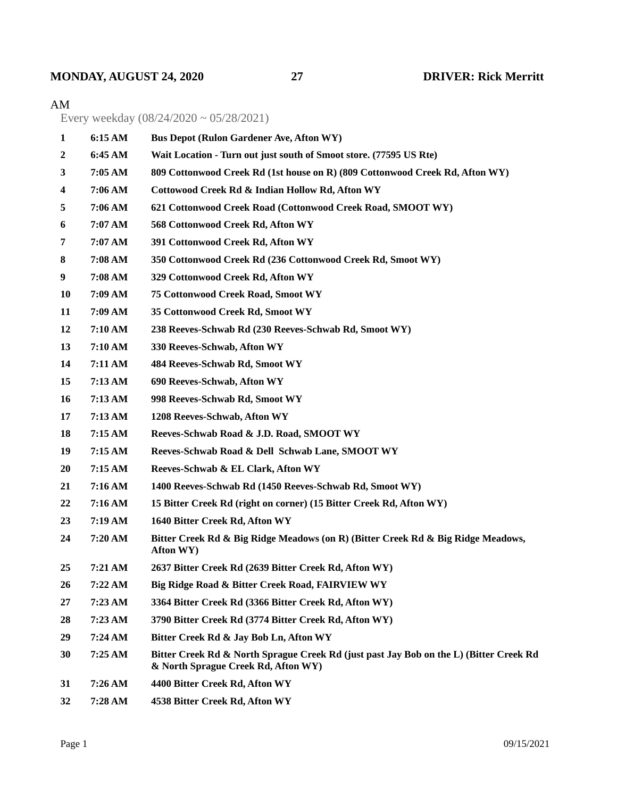## **MONDAY, AUGUST 24, 2020 27 DRIVER: Rick Merritt**

## AM

Every weekday (08/24/2020 ~ 05/28/2021)

| $\mathbf{1}$ | 6:15 AM | <b>Bus Depot (Rulon Gardener Ave, Afton WY)</b>                                                                               |  |
|--------------|---------|-------------------------------------------------------------------------------------------------------------------------------|--|
| $\mathbf{2}$ | 6:45 AM | Wait Location - Turn out just south of Smoot store. (77595 US Rte)                                                            |  |
| 3            | 7:05 AM | 809 Cottonwood Creek Rd (1st house on R) (809 Cottonwood Creek Rd, Afton WY)                                                  |  |
| 4            | 7:06 AM | Cottowood Creek Rd & Indian Hollow Rd, Afton WY                                                                               |  |
| 5            | 7:06 AM | 621 Cottonwood Creek Road (Cottonwood Creek Road, SMOOT WY)                                                                   |  |
| 6            | 7:07 AM | 568 Cottonwood Creek Rd, Afton WY                                                                                             |  |
| 7            | 7:07 AM | 391 Cottonwood Creek Rd, Afton WY                                                                                             |  |
| 8            | 7:08 AM | 350 Cottonwood Creek Rd (236 Cottonwood Creek Rd, Smoot WY)                                                                   |  |
| 9            | 7:08 AM | 329 Cottonwood Creek Rd, Afton WY                                                                                             |  |
| 10           | 7:09 AM | <b>75 Cottonwood Creek Road, Smoot WY</b>                                                                                     |  |
| 11           | 7:09 AM | 35 Cottonwood Creek Rd, Smoot WY                                                                                              |  |
| 12           | 7:10 AM | 238 Reeves-Schwab Rd (230 Reeves-Schwab Rd, Smoot WY)                                                                         |  |
| 13           | 7:10 AM | 330 Reeves-Schwab, Afton WY                                                                                                   |  |
| 14           | 7:11 AM | 484 Reeves-Schwab Rd, Smoot WY                                                                                                |  |
| 15           | 7:13 AM | 690 Reeves-Schwab, Afton WY                                                                                                   |  |
| 16           | 7:13 AM | 998 Reeves-Schwab Rd, Smoot WY                                                                                                |  |
| 17           | 7:13 AM | 1208 Reeves-Schwab, Afton WY                                                                                                  |  |
| 18           | 7:15 AM | Reeves-Schwab Road & J.D. Road, SMOOT WY                                                                                      |  |
| 19           | 7:15AM  | Reeves-Schwab Road & Dell Schwab Lane, SMOOT WY                                                                               |  |
| 20           | 7:15 AM | Reeves-Schwab & EL Clark, Afton WY                                                                                            |  |
| 21           | 7:16 AM | 1400 Reeves-Schwab Rd (1450 Reeves-Schwab Rd, Smoot WY)                                                                       |  |
| 22           | 7:16 AM | 15 Bitter Creek Rd (right on corner) (15 Bitter Creek Rd, Afton WY)                                                           |  |
| 23           | 7:19 AM | 1640 Bitter Creek Rd, Afton WY                                                                                                |  |
| 24           | 7:20 AM | Bitter Creek Rd & Big Ridge Meadows (on R) (Bitter Creek Rd & Big Ridge Meadows,<br>Afton WY)                                 |  |
| 25           | 7:21 AM | 2637 Bitter Creek Rd (2639 Bitter Creek Rd, Afton WY)                                                                         |  |
| 26           | 7:22 AM | Big Ridge Road & Bitter Creek Road, FAIRVIEW WY                                                                               |  |
| 27           | 7:23 AM | 3364 Bitter Creek Rd (3366 Bitter Creek Rd, Afton WY)                                                                         |  |
| 28           | 7:23 AM | 3790 Bitter Creek Rd (3774 Bitter Creek Rd, Afton WY)                                                                         |  |
| 29           | 7:24 AM | Bitter Creek Rd & Jay Bob Ln, Afton WY                                                                                        |  |
| 30           | 7:25 AM | Bitter Creek Rd & North Sprague Creek Rd (just past Jay Bob on the L) (Bitter Creek Rd<br>& North Sprague Creek Rd, Afton WY) |  |
| 31           | 7:26 AM | 4400 Bitter Creek Rd, Afton WY                                                                                                |  |
| 32           | 7:28 AM | 4538 Bitter Creek Rd, Afton WY                                                                                                |  |